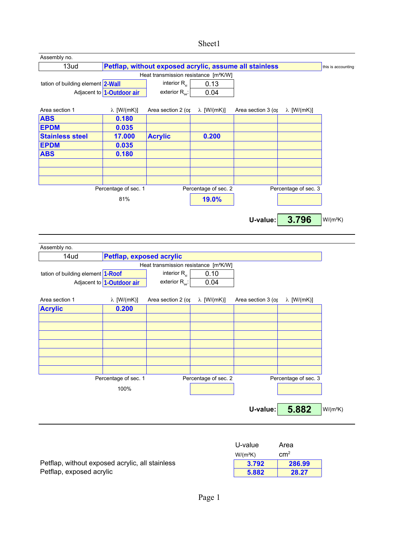## Sheet1

| Assembly no.                      |                              |                                                        |                      |                    |                      |                    |
|-----------------------------------|------------------------------|--------------------------------------------------------|----------------------|--------------------|----------------------|--------------------|
| 13ud                              |                              | Petflap, without exposed acrylic, assume all stainless |                      |                    |                      | this is accounting |
|                                   |                              | Heat transmission resistance [m <sup>2</sup> K/W]      |                      |                    |                      |                    |
| tation of building element 2-Wall |                              | interior $R_{si}$                                      | 0.13                 |                    |                      |                    |
|                                   | Adjacent to 1-Outdoor air    | exterior $R_{\rm se}$ :                                | 0.04                 |                    |                      |                    |
|                                   |                              |                                                        |                      |                    |                      |                    |
| Area section 1                    | $\lambda$ [W/(mK)]           | Area section 2 (or $\lambda$ [W/(mK)]                  |                      | Area section 3 (op | λ [W/(mK)]           |                    |
| <b>ABS</b>                        | 0.180                        |                                                        |                      |                    |                      |                    |
| <b>EPDM</b>                       | 0.035                        |                                                        |                      |                    |                      |                    |
| <b>Stainless steel</b>            | 17.000                       | <b>Acrylic</b>                                         | 0.200                |                    |                      |                    |
| <b>EPDM</b>                       | 0.035                        |                                                        |                      |                    |                      |                    |
| <b>ABS</b>                        | 0.180                        |                                                        |                      |                    |                      |                    |
|                                   |                              |                                                        |                      |                    |                      |                    |
|                                   |                              |                                                        |                      |                    |                      |                    |
|                                   |                              |                                                        |                      |                    |                      |                    |
|                                   | Percentage of sec. 1         |                                                        | Percentage of sec. 2 |                    | Percentage of sec. 3 |                    |
|                                   | 81%                          |                                                        | 19.0%                |                    |                      |                    |
|                                   |                              |                                                        |                      |                    |                      |                    |
|                                   |                              |                                                        |                      |                    |                      |                    |
|                                   |                              |                                                        |                      | U-value:           | 3.796                | $W/(m^2K)$         |
|                                   |                              |                                                        |                      |                    |                      |                    |
|                                   |                              |                                                        |                      |                    |                      |                    |
| Assembly no.                      |                              |                                                        |                      |                    |                      |                    |
| 14ud                              | Petflap, exposed acrylic     |                                                        |                      |                    |                      |                    |
|                                   |                              | Heat transmission resistance [m <sup>2</sup> K/W]      |                      |                    |                      |                    |
| tation of building element 1-Roof |                              | interior $R_{si}$                                      | 0.10                 |                    |                      |                    |
|                                   | Adjacent to $1$ -Outdoor air | exterior $R_{se}$ :                                    | 0.04                 |                    |                      |                    |
|                                   |                              |                                                        |                      |                    |                      |                    |
| Area section 1                    | $\lambda$ [W/(mK)]           | Area section 2 (op                                     | λ [W/(mK)]           | Area section 3 (op | λ [W/(mK)]           |                    |
| <b>Acrylic</b>                    | 0.200                        |                                                        |                      |                    |                      |                    |
|                                   |                              |                                                        |                      |                    |                      |                    |
|                                   |                              |                                                        |                      |                    |                      |                    |
|                                   |                              |                                                        |                      |                    |                      |                    |
|                                   |                              |                                                        |                      |                    |                      |                    |
|                                   |                              |                                                        |                      |                    |                      |                    |
|                                   |                              |                                                        |                      |                    |                      |                    |
|                                   |                              |                                                        |                      |                    |                      |                    |
|                                   | Percentage of sec. 1         |                                                        | Percentage of sec. 2 |                    | Percentage of sec. 3 |                    |
|                                   | 100%                         |                                                        |                      |                    |                      |                    |
|                                   |                              |                                                        |                      |                    |                      |                    |
|                                   |                              |                                                        |                      |                    |                      |                    |
|                                   |                              |                                                        |                      | U-value:           | 5.882                | $W/(m^2K)$         |
|                                   |                              |                                                        |                      |                    |                      |                    |
|                                   |                              |                                                        |                      |                    |                      |                    |
|                                   |                              |                                                        |                      |                    |                      |                    |
|                                   |                              |                                                        |                      | U-value            | Area                 |                    |

 $W/(m^2K)$ Petflap, without exposed acrylic, all stainless **3.792 286.99**<br>Petflap, exposed acrylic **3.792 28.27** Petflap, exposed acrylic

cm2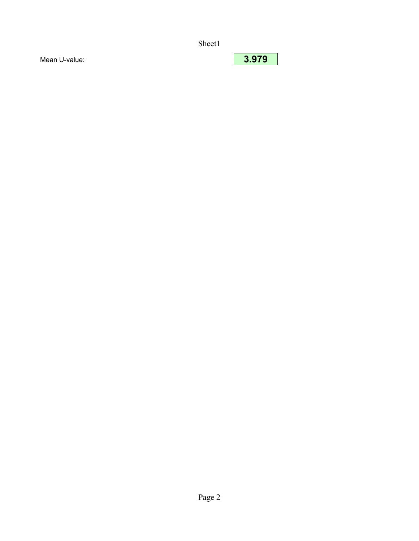Sheet1

Mean U-value: **3.979**